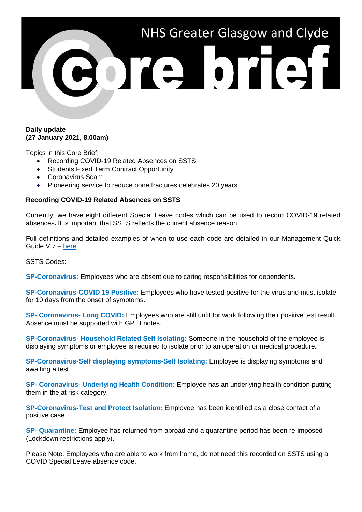

#### **Daily update (27 January 2021, 8.00am)**

Topics in this Core Brief:

- Recording COVID-19 Related Absences on SSTS
- Students Fixed Term Contract Opportunity
- Coronavirus Scam
- Pioneering service to reduce bone fractures celebrates 20 years

#### **Recording COVID-19 Related Absences on SSTS**

Currently, we have eight different Special Leave codes which can be used to record COVID-19 related absences**.** It is important that SSTS reflects the current absence reason.

Full definitions and detailed examples of when to use each code are detailed in our Management Quick Guide V.7 – [here](https://www.nhsggc.org.uk/your-health/health-issues/covid-19-coronavirus/for-nhsggc-staff/general-staff-guidance-resources/)

SSTS Codes:

**SP-Coronavirus:** Employees who are absent due to caring responsibilities for dependents.

**SP-Coronavirus-COVID 19 Positive:** Employees who have tested positive for the virus and must isolate for 10 days from the onset of symptoms.

**SP- Coronavirus- Long COVID:** Employees who are still unfit for work following their positive test result. Absence must be supported with GP fit notes.

**SP-Coronavirus- Household Related Self Isolating:** Someone in the household of the employee is displaying symptoms or employee is required to isolate prior to an operation or medical procedure.

**SP-Coronavirus-Self displaying symptoms-Self Isolating:** Employee is displaying symptoms and awaiting a test.

**SP- Coronavirus- Underlying Health Condition:** Employee has an underlying health condition putting them in the at risk category.

**SP-Coronavirus-Test and Protect Isolation:** Employee has been identified as a close contact of a positive case.

**SP- Quarantine:** Employee has returned from abroad and a quarantine period has been re-imposed (Lockdown restrictions apply).

Please Note: Employees who are able to work from home, do not need this recorded on SSTS using a COVID Special Leave absence code.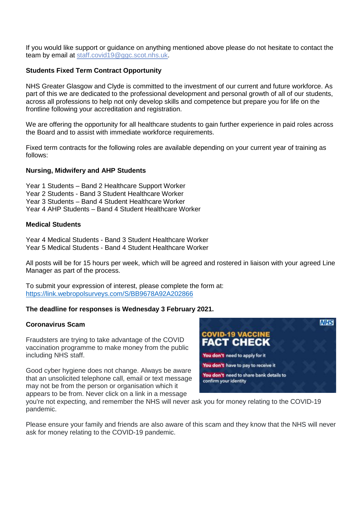If you would like support or guidance on anything mentioned above please do not hesitate to contact the team by email at [staff.covid19@ggc.scot.nhs.uk.](mailto:staff.covid19@ggc.scot.nhs.uk)

## **Students Fixed Term Contract Opportunity**

NHS Greater Glasgow and Clyde is committed to the investment of our current and future workforce. As part of this we are dedicated to the professional development and personal growth of all of our students, across all professions to help not only develop skills and competence but prepare you for life on the frontline following your accreditation and registration.

We are offering the opportunity for all healthcare students to gain further experience in paid roles across the Board and to assist with immediate workforce requirements.

Fixed term contracts for the following roles are available depending on your current year of training as follows:

## **Nursing, Midwifery and AHP Students**

Year 1 Students – Band 2 Healthcare Support Worker Year 2 Students - Band 3 Student Healthcare Worker Year 3 Students – Band 4 Student Healthcare Worker Year 4 AHP Students – Band 4 Student Healthcare Worker

## **Medical Students**

Year 4 Medical Students - Band 3 Student Healthcare Worker Year 5 Medical Students - Band 4 Student Healthcare Worker

All posts will be for 15 hours per week, which will be agreed and rostered in liaison with your agreed Line Manager as part of the process.

To submit your expression of interest, please complete the form at: <https://link.webropolsurveys.com/S/BB9678A92A202866>

## **The deadline for responses is Wednesday 3 February 2021.**

#### **Coronavirus Scam**

Fraudsters are trying to take advantage of the COVID vaccination programme to make money from the public including NHS staff.

Good cyber hygiene does not change. Always be aware that an unsolicited telephone call, email or text message may not be from the person or organisation which it appears to be from. Never click on a link in a message



you're not expecting, and remember the NHS will never ask you for money relating to the COVID-19 pandemic.

Please ensure your family and friends are also aware of this scam and they know that the NHS will never ask for money relating to the COVID-19 pandemic.